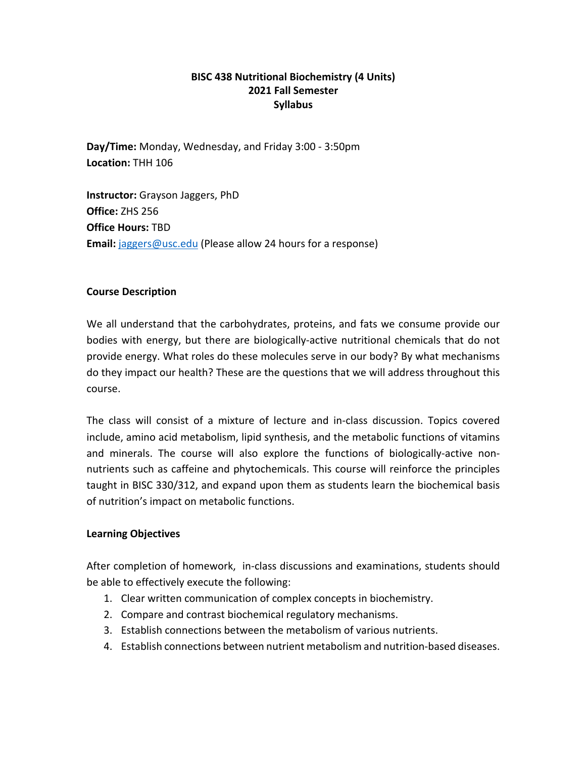# **BISC 438 Nutritional Biochemistry (4 Units) 2021 Fall Semester Syllabus**

**Day/Time:** Monday, Wednesday, and Friday 3:00 - 3:50pm **Location:** THH 106

**Instructor:** Grayson Jaggers, PhD **Office:** ZHS 256 **Office Hours:** TBD **Email:** jaggers@usc.edu (Please allow 24 hours for a response)

### **Course Description**

We all understand that the carbohydrates, proteins, and fats we consume provide our bodies with energy, but there are biologically-active nutritional chemicals that do not provide energy. What roles do these molecules serve in our body? By what mechanisms do they impact our health? These are the questions that we will address throughout this course.

The class will consist of a mixture of lecture and in-class discussion. Topics covered include, amino acid metabolism, lipid synthesis, and the metabolic functions of vitamins and minerals. The course will also explore the functions of biologically-active nonnutrients such as caffeine and phytochemicals. This course will reinforce the principles taught in BISC 330/312, and expand upon them as students learn the biochemical basis of nutrition's impact on metabolic functions.

### **Learning Objectives**

After completion of homework, in-class discussions and examinations, students should be able to effectively execute the following:

- 1. Clear written communication of complex concepts in biochemistry.
- 2. Compare and contrast biochemical regulatory mechanisms.
- 3. Establish connections between the metabolism of various nutrients.
- 4. Establish connections between nutrient metabolism and nutrition-based diseases.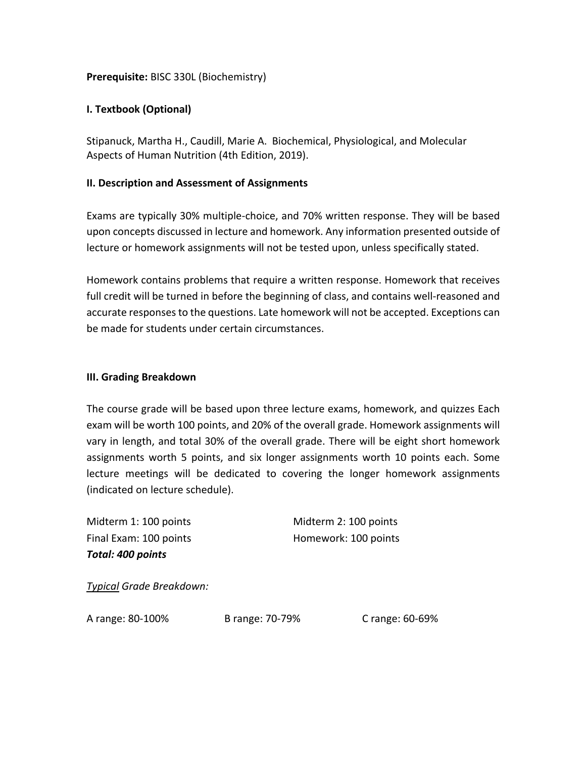## **Prerequisite:** BISC 330L (Biochemistry)

## **I. Textbook (Optional)**

Stipanuck, Martha H., Caudill, Marie A. Biochemical, Physiological, and Molecular Aspects of Human Nutrition (4th Edition, 2019).

#### **II. Description and Assessment of Assignments**

Exams are typically 30% multiple-choice, and 70% written response. They will be based upon concepts discussed in lecture and homework. Any information presented outside of lecture or homework assignments will not be tested upon, unless specifically stated.

Homework contains problems that require a written response. Homework that receives full credit will be turned in before the beginning of class, and contains well-reasoned and accurate responses to the questions. Late homework will not be accepted. Exceptions can be made for students under certain circumstances.

#### **III. Grading Breakdown**

The course grade will be based upon three lecture exams, homework, and quizzes Each exam will be worth 100 points, and 20% of the overall grade. Homework assignments will vary in length, and total 30% of the overall grade. There will be eight short homework assignments worth 5 points, and six longer assignments worth 10 points each. Some lecture meetings will be dedicated to covering the longer homework assignments (indicated on lecture schedule).

Midterm 1: 100 points Midterm 2: 100 points *Total: 400 points*

Final Exam: 100 points Homework: 100 points

*Typical Grade Breakdown:*

A range: 80-100% B range: 70-79% C range: 60-69%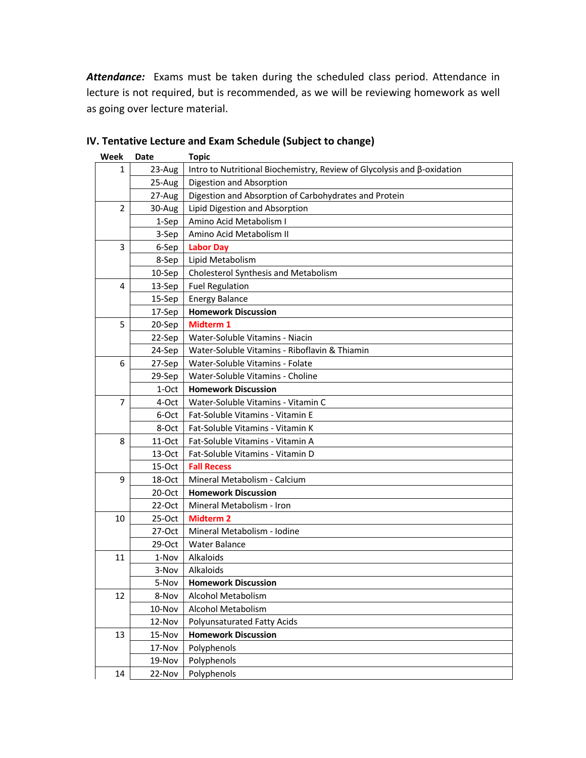*Attendance:* Exams must be taken during the scheduled class period. Attendance in lecture is not required, but is recommended, as we will be reviewing homework as well as going over lecture material.

| Week           | Date      | <b>Topic</b>                                                            |
|----------------|-----------|-------------------------------------------------------------------------|
| 1              | 23-Aug    | Intro to Nutritional Biochemistry, Review of Glycolysis and β-oxidation |
|                | 25-Aug    | Digestion and Absorption                                                |
|                | 27-Aug    | Digestion and Absorption of Carbohydrates and Protein                   |
| $\overline{2}$ | 30-Aug    | Lipid Digestion and Absorption                                          |
|                | 1-Sep     | Amino Acid Metabolism I                                                 |
|                | 3-Sep     | Amino Acid Metabolism II                                                |
| 3              | 6-Sep     | <b>Labor Day</b>                                                        |
|                | 8-Sep     | Lipid Metabolism                                                        |
|                | 10-Sep    | Cholesterol Synthesis and Metabolism                                    |
| 4              | 13-Sep    | <b>Fuel Regulation</b>                                                  |
|                | 15-Sep    | <b>Energy Balance</b>                                                   |
|                | 17-Sep    | <b>Homework Discussion</b>                                              |
| 5              | 20-Sep    | Midterm 1                                                               |
|                | 22-Sep    | Water-Soluble Vitamins - Niacin                                         |
|                | 24-Sep    | Water-Soluble Vitamins - Riboflavin & Thiamin                           |
| 6              | 27-Sep    | Water-Soluble Vitamins - Folate                                         |
|                | 29-Sep    | Water-Soluble Vitamins - Choline                                        |
|                | 1-Oct     | <b>Homework Discussion</b>                                              |
| 7              | 4-Oct     | Water-Soluble Vitamins - Vitamin C                                      |
|                | 6-Oct     | Fat-Soluble Vitamins - Vitamin E                                        |
|                | 8-Oct     | Fat-Soluble Vitamins - Vitamin K                                        |
| 8              | 11-Oct    | Fat-Soluble Vitamins - Vitamin A                                        |
|                | 13-Oct    | Fat-Soluble Vitamins - Vitamin D                                        |
|                | 15-Oct    | <b>Fall Recess</b>                                                      |
| 9              | 18-Oct    | Mineral Metabolism - Calcium                                            |
|                | 20-Oct    | <b>Homework Discussion</b>                                              |
|                | $22$ -Oct | Mineral Metabolism - Iron                                               |
| 10             | 25-Oct    | <b>Midterm 2</b>                                                        |
|                | $27-Oct$  | Mineral Metabolism - Iodine                                             |
|                | 29-Oct    | <b>Water Balance</b>                                                    |
| 11             | 1-Nov     | Alkaloids                                                               |
|                | 3-Nov     | Alkaloids                                                               |
|                | 5-Nov     | <b>Homework Discussion</b>                                              |
| 12             | 8-Nov     | Alcohol Metabolism                                                      |
|                | 10-Nov    | Alcohol Metabolism                                                      |
|                | 12-Nov    | Polyunsaturated Fatty Acids                                             |
| 13             | 15-Nov    | <b>Homework Discussion</b>                                              |
|                | 17-Nov    | Polyphenols                                                             |
|                | 19-Nov    | Polyphenols                                                             |
| 14             | 22-Nov    | Polyphenols                                                             |

# **IV. Tentative Lecture and Exam Schedule (Subject to change)**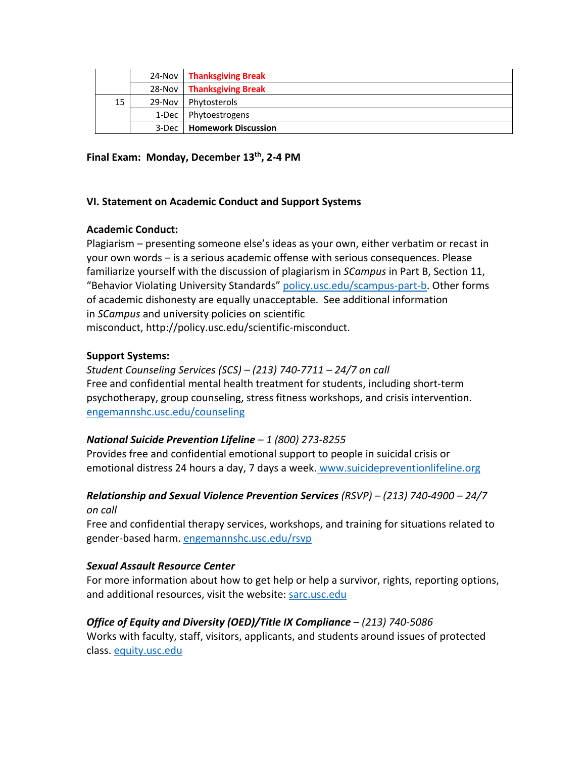|    |         | 24-Nov   Thanksgiving Break |
|----|---------|-----------------------------|
|    |         | 28-Nov   Thanksgiving Break |
| 15 | 29-Nov  | Phytosterols                |
|    | 1-Dec ' | Phytoestrogens              |
|    | 3-Dec   | <b>Homework Discussion</b>  |

## **Final Exam: Monday, December 13th, 2-4 PM**

### **VI. Statement on Academic Conduct and Support Systems**

## **Academic Conduct:**

Plagiarism – presenting someone else's ideas as your own, either verbatim or recast in your own words – is a serious academic offense with serious consequences. Please familiarize yourself with the discussion of plagiarism in *SCampus* in Part B, Section 11, "Behavior Violating University Standards" policy.usc.edu/scampus-part-b. Other forms of academic dishonesty are equally unacceptable. See additional information in *SCampus* and university policies on scientific misconduct, http://policy.usc.edu/scientific-misconduct.

## **Support Systems:**

*Student Counseling Services (SCS) – (213) 740-7711 – 24/7 on call* Free and confidential mental health treatment for students, including short-term psychotherapy, group counseling, stress fitness workshops, and crisis intervention. engemannshc.usc.edu/counseling

# *National Suicide Prevention Lifeline – 1 (800) 273-8255*

Provides free and confidential emotional support to people in suicidal crisis or emotional distress 24 hours a day, 7 days a week. www.suicidepreventionlifeline.org

# *Relationship and Sexual Violence Prevention Services (RSVP) – (213) 740-4900 – 24/7 on call*

Free and confidential therapy services, workshops, and training for situations related to gender-based harm. engemannshc.usc.edu/rsvp

# *Sexual Assault Resource Center*

For more information about how to get help or help a survivor, rights, reporting options, and additional resources, visit the website: sarc.usc.edu

# *Office of Equity and Diversity (OED)/Title IX Compliance – (213) 740-5086*

Works with faculty, staff, visitors, applicants, and students around issues of protected class. equity.usc.edu